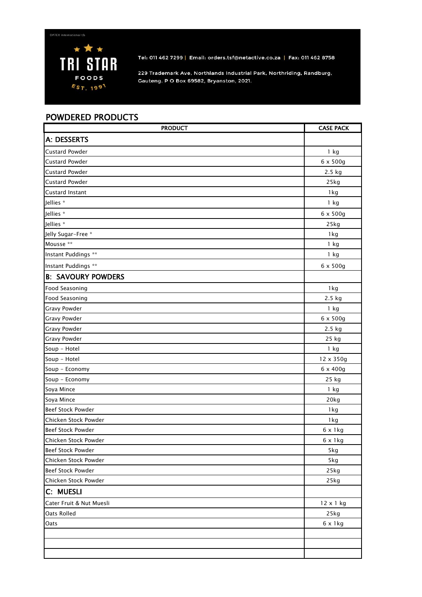

Tel: 011 462 7299 | Email: orders.tsf@netactive.co.za | Fax: 011 462 8758

229 Trademark Ave, Northlands Industrial Park, Northriding, Randburg, Gauteng. P O Box 69582, Bryanston, 2021.

## POWDERED PRODUCTS

| <b>PRODUCT</b>            | <b>CASE PACK</b> |
|---------------------------|------------------|
| A: DESSERTS               |                  |
| <b>Custard Powder</b>     | $1$ kg           |
| <b>Custard Powder</b>     | $6 \times 500g$  |
| <b>Custard Powder</b>     | 2.5 kg           |
| <b>Custard Powder</b>     | 25kg             |
| Custard Instant           | 1 kg             |
| Jellies *                 | 1 kg             |
| Jellies *                 | $6 \times 500g$  |
| Jellies *                 | 25kg             |
| Jelly Sugar-Free *        | 1 kg             |
| Mousse **                 | 1 kg             |
| Instant Puddings **       | 1 kg             |
| Instant Puddings **       | $6 \times 500g$  |
| <b>B: SAVOURY POWDERS</b> |                  |
| Food Seasoning            | 1 kg             |
| Food Seasoning            | 2.5 kg           |
| Gravy Powder              | 1 kg             |
| Gravy Powder              | 6 x 500g         |
| Gravy Powder              | 2.5 kg           |
| Gravy Powder              | 25 kg            |
| Soup - Hotel              | 1 kg             |
| Soup - Hotel              | 12 x 350g        |
| Soup - Economy            | 6 x 400g         |
| Soup - Economy            | 25 kg            |
| Soya Mince                | 1 kg             |
| Soya Mince                | 20kg             |
| Beef Stock Powder         | 1 kg             |
| Chicken Stock Powder      | 1kg              |
| Beef Stock Powder         | $6 \times 1$ kg  |
| Chicken Stock Powder      | $6 \times 1$ kg  |
| Beef Stock Powder         | 5kg              |
| Chicken Stock Powder      | 5kg              |
| <b>Beef Stock Powder</b>  | 25kg             |
| Chicken Stock Powder      | 25kg             |
| C: MUESLI                 |                  |
| Cater Fruit & Nut Muesli  | 12 x 1 kg        |
| Oats Rolled               | 25kg             |
| Oats                      | $6 \times 1$ kg  |
|                           |                  |
|                           |                  |
|                           |                  |